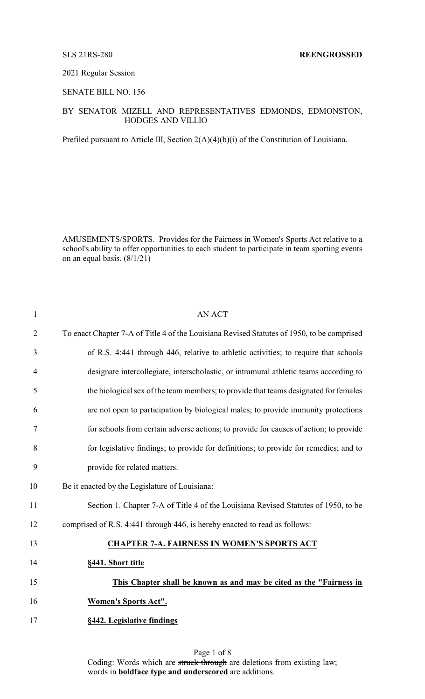### 2021 Regular Session

## SENATE BILL NO. 156

## BY SENATOR MIZELL AND REPRESENTATIVES EDMONDS, EDMONSTON, HODGES AND VILLIO

Prefiled pursuant to Article III, Section 2(A)(4)(b)(i) of the Constitution of Louisiana.

AMUSEMENTS/SPORTS. Provides for the Fairness in Women's Sports Act relative to a school's ability to offer opportunities to each student to participate in team sporting events on an equal basis. (8/1/21)

| $\mathbf{1}$   | <b>AN ACT</b>                                                                              |
|----------------|--------------------------------------------------------------------------------------------|
| $\overline{2}$ | To enact Chapter 7-A of Title 4 of the Louisiana Revised Statutes of 1950, to be comprised |
| 3              | of R.S. 4:441 through 446, relative to athletic activities; to require that schools        |
| $\overline{4}$ | designate intercollegiate, interscholastic, or intramural athletic teams according to      |
| 5              | the biological sex of the team members; to provide that teams designated for females       |
| 6              | are not open to participation by biological males; to provide immunity protections         |
| 7              | for schools from certain adverse actions; to provide for causes of action; to provide      |
| 8              | for legislative findings; to provide for definitions; to provide for remedies; and to      |
| 9              | provide for related matters.                                                               |
| 10             | Be it enacted by the Legislature of Louisiana:                                             |
| 11             | Section 1. Chapter 7-A of Title 4 of the Louisiana Revised Statutes of 1950, to be         |
| 12             | comprised of R.S. 4:441 through 446, is hereby enacted to read as follows:                 |
| 13             | <b>CHAPTER 7-A. FAIRNESS IN WOMEN'S SPORTS ACT</b>                                         |
| 14             | §441. Short title                                                                          |
| 15             | This Chapter shall be known as and may be cited as the "Fairness in                        |
| 16             | <b>Women's Sports Act".</b>                                                                |
| 17             | §442. Legislative findings                                                                 |
|                |                                                                                            |

Page 1 of 8 Coding: Words which are struck through are deletions from existing law; words in **boldface type and underscored** are additions.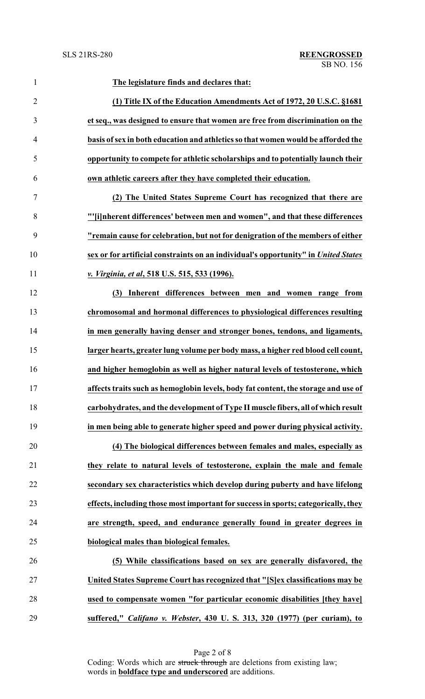| $\mathbf{1}$   | The legislature finds and declares that:                                           |
|----------------|------------------------------------------------------------------------------------|
| $\overline{2}$ | (1) Title IX of the Education Amendments Act of 1972, 20 U.S.C. §1681              |
| 3              | et seq., was designed to ensure that women are free from discrimination on the     |
| $\overline{4}$ | basis of sex in both education and athletics so that women would be afforded the   |
| 5              | opportunity to compete for athletic scholarships and to potentially launch their   |
| 6              | own athletic careers after they have completed their education.                    |
| $\tau$         | (2) The United States Supreme Court has recognized that there are                  |
| 8              | "'[i]nherent differences' between men and women", and that these differences       |
| 9              | "remain cause for celebration, but not for denigration of the members of either    |
| 10             | sex or for artificial constraints on an individual's opportunity" in United States |
| 11             | v. Virginia, et al, 518 U.S. 515, 533 (1996).                                      |
| 12             | Inherent differences between men and women range from<br>(3)                       |
| 13             | chromosomal and hormonal differences to physiological differences resulting        |
| 14             | in men generally having denser and stronger bones, tendons, and ligaments,         |
| 15             | larger hearts, greater lung volume per body mass, a higher red blood cell count,   |
| 16             | and higher hemoglobin as well as higher natural levels of testosterone, which      |
| 17             | affects traits such as hemoglobin levels, body fat content, the storage and use of |
| 18             | carbohydrates, and the development of Type II muscle fibers, all of which result   |
| 19             | in men being able to generate higher speed and power during physical activity.     |
| 20             | (4) The biological differences between females and males, especially as            |
| 21             | they relate to natural levels of testosterone, explain the male and female         |
| 22             | secondary sex characteristics which develop during puberty and have lifelong       |
| 23             | effects, including those most important for success in sports; categorically, they |
| 24             | are strength, speed, and endurance generally found in greater degrees in           |
| 25             | biological males than biological females.                                          |
| 26             | (5) While classifications based on sex are generally disfavored, the               |
| 27             | United States Supreme Court has recognized that "[S]ex classifications may be      |
| 28             | used to compensate women "for particular economic disabilities [they have]         |
| 29             | suffered," Califano v. Webster, 430 U.S. 313, 320 (1977) (per curiam), to          |

Page 2 of 8 Coding: Words which are struck through are deletions from existing law; words in **boldface type and underscored** are additions.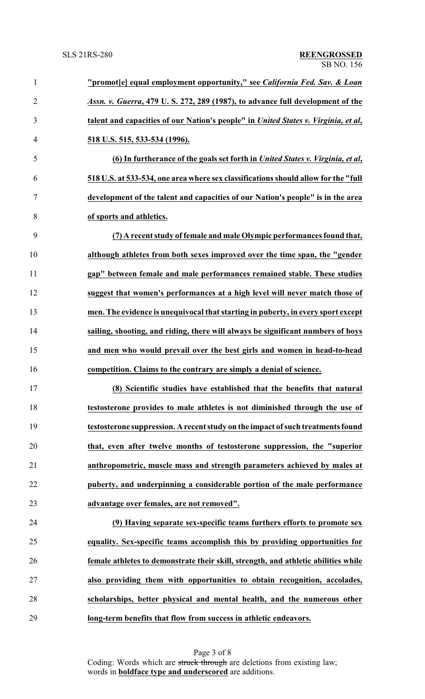| $\mathbf{1}$   | "promot[e] equal employment opportunity," see California Fed. Sav. & Loan          |
|----------------|------------------------------------------------------------------------------------|
| $\overline{2}$ | Assn. v. Guerra, 479 U.S. 272, 289 (1987), to advance full development of the      |
| 3              | talent and capacities of our Nation's people" in United States v. Virginia, et al, |
| $\overline{4}$ | <u>518 U.S. 515, 533-534 (1996).</u>                                               |
| 5              | (6) In furtherance of the goals set forth in United States v. Virginia, et al.     |
| 6              | 518 U.S. at 533-534, one area where sex classifications should allow for the "full |
| 7              | development of the talent and capacities of our Nation's people" is in the area    |
| 8              | of sports and athletics.                                                           |
| 9              | (7) A recent study of female and male Olympic performances found that,             |
| 10             | although athletes from both sexes improved over the time span, the "gender         |
| 11             | gap" between female and male performances remained stable. These studies           |
| 12             | suggest that women's performances at a high level will never match those of        |
| 13             | men. The evidence is unequivocal that starting in puberty, in every sport except   |
| 14             | sailing, shooting, and riding, there will always be significant numbers of boys    |
| 15             | and men who would prevail over the best girls and women in head-to-head            |
| 16             | competition. Claims to the contrary are simply a denial of science.                |
| 17             | (8) Scientific studies have established that the benefits that natural             |
| 18             | testosterone provides to male athletes is not diminished through the use of        |
| 19             | testosterone suppression. A recent study on the impact of such treatments found    |
| 20             | that, even after twelve months of testosterone suppression, the "superior          |
| 21             | anthropometric, muscle mass and strength parameters achieved by males at           |
| 22             | puberty, and underpinning a considerable portion of the male performance           |
| 23             | advantage over females, are not removed".                                          |
| 24             | (9) Having separate sex-specific teams furthers efforts to promote sex             |
| 25             | equality. Sex-specific teams accomplish this by providing opportunities for        |
| 26             | female athletes to demonstrate their skill, strength, and athletic abilities while |
| 27             | also providing them with opportunities to obtain recognition, accolades,           |
| 28             | scholarships, better physical and mental health, and the numerous other            |
| 29             | long-term benefits that flow from success in athletic endeavors.                   |

Page 3 of 8 Coding: Words which are struck through are deletions from existing law; words in **boldface type and underscored** are additions.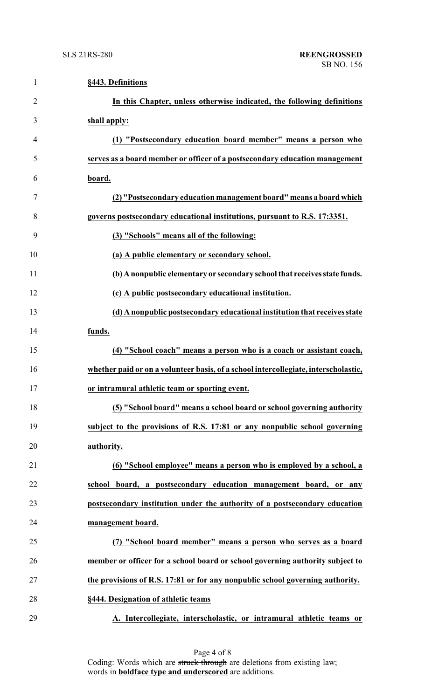| $\mathbf{1}$   | §443. Definitions                                                                   |
|----------------|-------------------------------------------------------------------------------------|
| $\overline{2}$ | In this Chapter, unless otherwise indicated, the following definitions              |
| 3              | shall apply:                                                                        |
| 4              | (1) "Postsecondary education board member" means a person who                       |
| 5              | serves as a board member or officer of a postsecondary education management         |
| 6              | board.                                                                              |
| 7              | (2) "Postsecondary education management board" means a board which                  |
| 8              | governs postsecondary educational institutions, pursuant to R.S. 17:3351.           |
| 9              | (3) "Schools" means all of the following:                                           |
| 10             | (a) A public elementary or secondary school.                                        |
| 11             | (b) A nonpublic elementary or secondary school that receives state funds.           |
| 12             | (c) A public postsecondary educational institution.                                 |
| 13             | (d) A nonpublic postsecondary educational institution that receives state           |
| 14             | funds.                                                                              |
| 15             | (4) "School coach" means a person who is a coach or assistant coach,                |
| 16             | whether paid or on a volunteer basis, of a school intercollegiate, interscholastic, |
| 17             | or intramural athletic team or sporting event.                                      |
| 18             | (5) "School board" means a school board or school governing authority               |
| 19             | subject to the provisions of R.S. 17:81 or any nonpublic school governing           |
| 20             | authority.                                                                          |
| 21             | (6) "School employee" means a person who is employed by a school, a                 |
| 22             | school board, a postsecondary education management board, or any                    |
| 23             | postsecondary institution under the authority of a postsecondary education          |
| 24             | management board.                                                                   |
| 25             | (7) "School board member" means a person who serves as a board                      |
| 26             | member or officer for a school board or school governing authority subject to       |
| 27             | the provisions of R.S. 17:81 or for any nonpublic school governing authority.       |
| 28             | §444. Designation of athletic teams                                                 |
| 29             | A. Intercollegiate, interscholastic, or intramural athletic teams or                |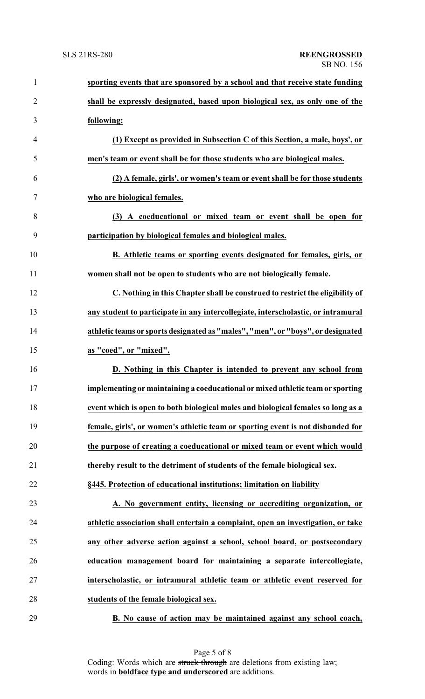| $\mathbf{1}$   | sporting events that are sponsored by a school and that receive state funding     |
|----------------|-----------------------------------------------------------------------------------|
| $\overline{2}$ | shall be expressly designated, based upon biological sex, as only one of the      |
| 3              | following:                                                                        |
| $\overline{4}$ | (1) Except as provided in Subsection C of this Section, a male, boys', or         |
| 5              | men's team or event shall be for those students who are biological males.         |
| 6              | (2) A female, girls', or women's team or event shall be for those students        |
| $\tau$         | who are biological females.                                                       |
| 8              | (3) A coeducational or mixed team or event shall be open for                      |
| 9              | participation by biological females and biological males.                         |
| 10             | B. Athletic teams or sporting events designated for females, girls, or            |
| 11             | women shall not be open to students who are not biologically female.              |
| 12             | C. Nothing in this Chapter shall be construed to restrict the eligibility of      |
| 13             | any student to participate in any intercollegiate, interscholastic, or intramural |
| 14             | athletic teams or sports designated as "males", "men", or "boys", or designated   |
| 15             | as "coed", or "mixed".                                                            |
| 16             | D. Nothing in this Chapter is intended to prevent any school from                 |
| 17             | implementing or maintaining a coeducational or mixed athletic team or sporting    |
| 18             | event which is open to both biological males and biological females so long as a  |
| 19             | female, girls', or women's athletic team or sporting event is not disbanded for   |
| 20             | the purpose of creating a coeducational or mixed team or event which would        |
| 21             | thereby result to the detriment of students of the female biological sex.         |
| 22             | §445. Protection of educational institutions; limitation on liability             |
| 23             | A. No government entity, licensing or accrediting organization, or                |
| 24             | athletic association shall entertain a complaint, open an investigation, or take  |
| 25             | any other adverse action against a school, school board, or postsecondary         |
| 26             | education management board for maintaining a separate intercollegiate,            |
| 27             | interscholastic, or intramural athletic team or athletic event reserved for       |
| 28             | students of the female biological sex.                                            |
| 29             | B. No cause of action may be maintained against any school coach,                 |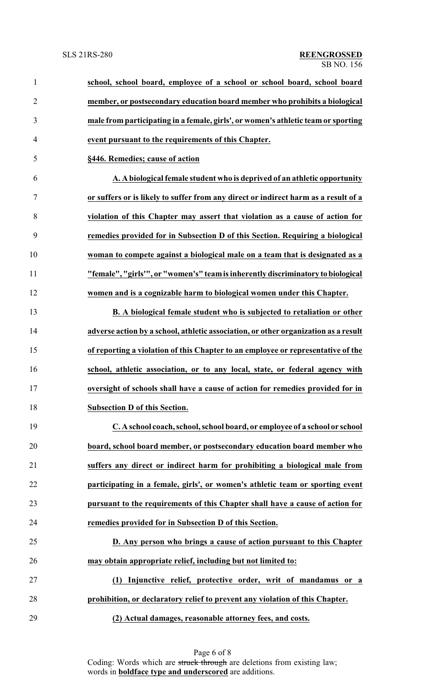| $\mathbf{1}$   | school, school board, employee of a school or school board, school board            |
|----------------|-------------------------------------------------------------------------------------|
| $\overline{2}$ | member, or postsecondary education board member who prohibits a biological          |
| 3              | male from participating in a female, girls', or women's athletic team or sporting   |
| $\overline{4}$ | event pursuant to the requirements of this Chapter.                                 |
| 5              | §446. Remedies; cause of action                                                     |
| 6              | A. A biological female student who is deprived of an athletic opportunity           |
| 7              | or suffers or is likely to suffer from any direct or indirect harm as a result of a |
| 8              | violation of this Chapter may assert that violation as a cause of action for        |
| 9              | remedies provided for in Subsection D of this Section. Requiring a biological       |
| 10             | woman to compete against a biological male on a team that is designated as a        |
| 11             | "female", "girls"", or "women's" team is inherently discriminatory to biological    |
| 12             | women and is a cognizable harm to biological women under this Chapter.              |
| 13             | B. A biological female student who is subjected to retaliation or other             |
| 14             | adverse action by a school, athletic association, or other organization as a result |
| 15             | of reporting a violation of this Chapter to an employee or representative of the    |
| 16             | school, athletic association, or to any local, state, or federal agency with        |
| 17             | oversight of schools shall have a cause of action for remedies provided for in      |
| 18             | <b>Subsection D of this Section.</b>                                                |
| 19             | C. A school coach, school, school board, or employee of a school or school          |
| 20             | board, school board member, or postsecondary education board member who             |
| 21             | suffers any direct or indirect harm for prohibiting a biological male from          |
| 22             | participating in a female, girls', or women's athletic team or sporting event       |
| 23             | pursuant to the requirements of this Chapter shall have a cause of action for       |
| 24             | remedies provided for in Subsection D of this Section.                              |
| 25             | D. Any person who brings a cause of action pursuant to this Chapter                 |
| 26             | may obtain appropriate relief, including but not limited to:                        |
| 27             | (1) Injunctive relief, protective order, writ of mandamus or a                      |
| 28             | prohibition, or declaratory relief to prevent any violation of this Chapter.        |
| 29             | (2) Actual damages, reasonable attorney fees, and costs.                            |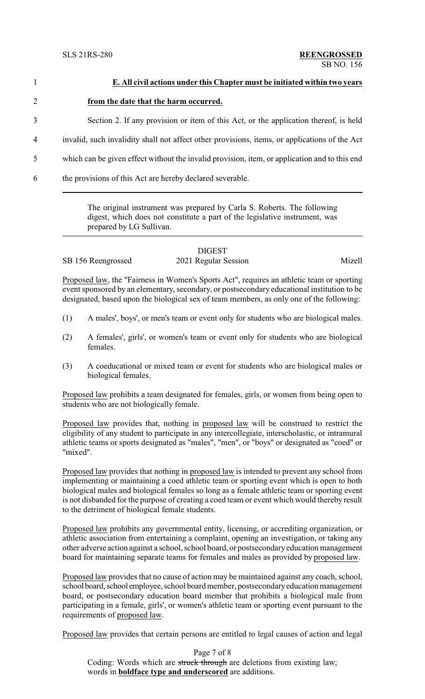| $\mathbf{1}$   | E. All civil actions under this Chapter must be initiated within two years                    |
|----------------|-----------------------------------------------------------------------------------------------|
| $\overline{2}$ | from the date that the harm occurred.                                                         |
| 3              | Section 2. If any provision or item of this Act, or the application thereof, is held          |
| 4              | invalid, such invalidity shall not affect other provisions, items, or applications of the Act |
| 5              | which can be given effect without the invalid provision, item, or application and to this end |
| 6              | the provisions of this Act are hereby declared severable.                                     |
|                | The original instrument was prepared by Carla $\mathcal S$ Roberts The following              |

The original instrument was prepared by Carla S. Roberts. The following digest, which does not constitute a part of the legislative instrument, was prepared by LG Sullivan.

# DIGEST

SB 156 Reengrossed 2021 Regular Session Mizell

Proposed law, the "Fairness in Women's Sports Act", requires an athletic team or sporting event sponsored by an elementary, secondary, or postsecondary educational institution to be designated, based upon the biological sex of team members, as only one of the following:

- (1) A males', boys', or men's team or event only for students who are biological males.
- (2) A females', girls', or women's team or event only for students who are biological females.
- (3) A coeducational or mixed team or event for students who are biological males or biological females.

Proposed law prohibits a team designated for females, girls, or women from being open to students who are not biologically female.

Proposed law provides that, nothing in proposed law will be construed to restrict the eligibility of any student to participate in any intercollegiate, interscholastic, or intramural athletic teams or sports designated as "males", "men", or "boys" or designated as "coed" or "mixed".

Proposed law provides that nothing in proposed law is intended to prevent any school from implementing or maintaining a coed athletic team or sporting event which is open to both biological males and biological females so long as a female athletic team or sporting event is not disbanded for the purpose of creating a coed team or event which would thereby result to the detriment of biological female students.

Proposed law prohibits any governmental entity, licensing, or accrediting organization, or athletic association from entertaining a complaint, opening an investigation, or taking any other adverse action against a school, school board, or postsecondaryeducation management board for maintaining separate teams for females and males as provided by proposed law.

Proposed law provides that no cause of action may be maintained against any coach, school, school board, school employee, school board member, postsecondary education management board, or postsecondary education board member that prohibits a biological male from participating in a female, girls', or women's athletic team or sporting event pursuant to the requirements of proposed law.

Proposed law provides that certain persons are entitled to legal causes of action and legal

Page 7 of 8 Coding: Words which are struck through are deletions from existing law; words in **boldface type and underscored** are additions.